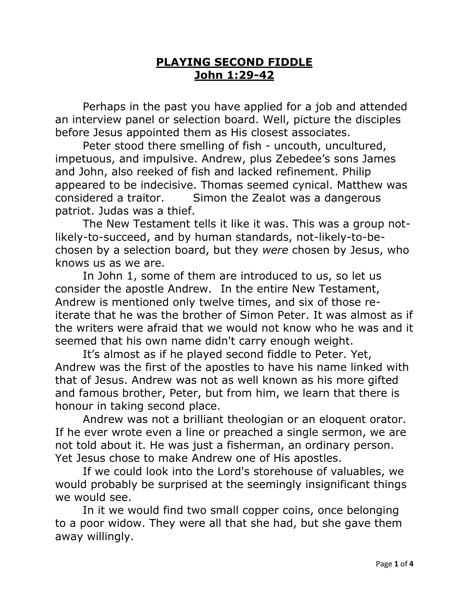## **PLAYING SECOND FIDDLE John 1:29-42**

Perhaps in the past you have applied for a job and attended an interview panel or selection board. Well, picture the disciples before Jesus appointed them as His closest associates.

Peter stood there smelling of fish - uncouth, uncultured, impetuous, and impulsive. Andrew, plus Zebedee's sons James and John, also reeked of fish and lacked refinement. Philip appeared to be indecisive. Thomas seemed cynical. Matthew was considered a traitor. Simon the Zealot was a dangerous patriot. Judas was a thief.

The New Testament tells it like it was. This was a group notlikely-to-succeed, and by human standards, not-likely-to-bechosen by a selection board, but they *were* chosen by Jesus, who knows us as we are.

In John 1, some of them are introduced to us, so let us consider the apostle Andrew. In the entire New Testament, Andrew is mentioned only twelve times, and six of those reiterate that he was the brother of Simon Peter. It was almost as if the writers were afraid that we would not know who he was and it seemed that his own name didn't carry enough weight.

It's almost as if he played second fiddle to Peter. Yet, Andrew was the first of the apostles to have his name linked with that of Jesus. Andrew was not as well known as his more gifted and famous brother, Peter, but from him, we learn that there is honour in taking second place.

Andrew was not a brilliant theologian or an eloquent orator. If he ever wrote even a line or preached a single sermon, we are not told about it. He was just a fisherman, an ordinary person. Yet Jesus chose to make Andrew one of His apostles.

If we could look into the Lord's storehouse of valuables, we would probably be surprised at the seemingly insignificant things we would see.

In it we would find two small copper coins, once belonging to a poor widow. They were all that she had, but she gave them away willingly.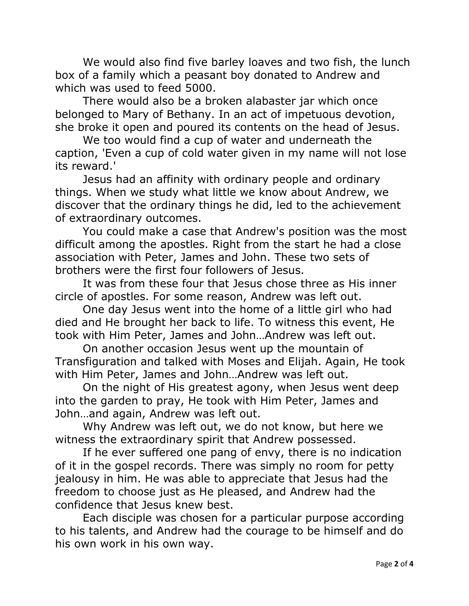We would also find five barley loaves and two fish, the lunch box of a family which a peasant boy donated to Andrew and which was used to feed 5000.

There would also be a broken alabaster jar which once belonged to Mary of Bethany. In an act of impetuous devotion, she broke it open and poured its contents on the head of Jesus.

We too would find a cup of water and underneath the caption, 'Even a cup of cold water given in my name will not lose its reward.'

Jesus had an affinity with ordinary people and ordinary things. When we study what little we know about Andrew, we discover that the ordinary things he did, led to the achievement of extraordinary outcomes.

You could make a case that Andrew's position was the most difficult among the apostles. Right from the start he had a close association with Peter, James and John. These two sets of brothers were the first four followers of Jesus.

It was from these four that Jesus chose three as His inner circle of apostles. For some reason, Andrew was left out.

One day Jesus went into the home of a little girl who had died and He brought her back to life. To witness this event, He took with Him Peter, James and John…Andrew was left out.

On another occasion Jesus went up the mountain of Transfiguration and talked with Moses and Elijah. Again, He took with Him Peter, James and John…Andrew was left out.

On the night of His greatest agony, when Jesus went deep into the garden to pray, He took with Him Peter, James and John…and again, Andrew was left out.

Why Andrew was left out, we do not know, but here we witness the extraordinary spirit that Andrew possessed.

If he ever suffered one pang of envy, there is no indication of it in the gospel records. There was simply no room for petty jealousy in him. He was able to appreciate that Jesus had the freedom to choose just as He pleased, and Andrew had the confidence that Jesus knew best.

Each disciple was chosen for a particular purpose according to his talents, and Andrew had the courage to be himself and do his own work in his own way.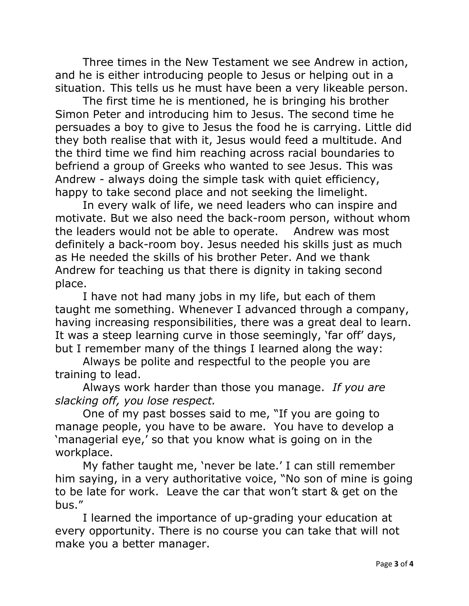Three times in the New Testament we see Andrew in action, and he is either introducing people to Jesus or helping out in a situation. This tells us he must have been a very likeable person.

The first time he is mentioned, he is bringing his brother Simon Peter and introducing him to Jesus. The second time he persuades a boy to give to Jesus the food he is carrying. Little did they both realise that with it, Jesus would feed a multitude. And the third time we find him reaching across racial boundaries to befriend a group of Greeks who wanted to see Jesus. This was Andrew - always doing the simple task with quiet efficiency, happy to take second place and not seeking the limelight.

In every walk of life, we need leaders who can inspire and motivate. But we also need the back-room person, without whom the leaders would not be able to operate. Andrew was most definitely a back-room boy. Jesus needed his skills just as much as He needed the skills of his brother Peter. And we thank Andrew for teaching us that there is dignity in taking second place.

I have not had many jobs in my life, but each of them taught me something. Whenever I advanced through a company, having increasing responsibilities, there was a great deal to learn. It was a steep learning curve in those seemingly, 'far off' days, but I remember many of the things I learned along the way:

Always be polite and respectful to the people you are training to lead.

Always work harder than those you manage. *If you are slacking off, you lose respect.*

One of my past bosses said to me, "If you are going to manage people, you have to be aware. You have to develop a 'managerial eye,' so that you know what is going on in the workplace.

My father taught me, 'never be late.' I can still remember him saying, in a very authoritative voice, "No son of mine is going to be late for work. Leave the car that won't start & get on the bus."

I learned the importance of up-grading your education at every opportunity. There is no course you can take that will not make you a better manager.